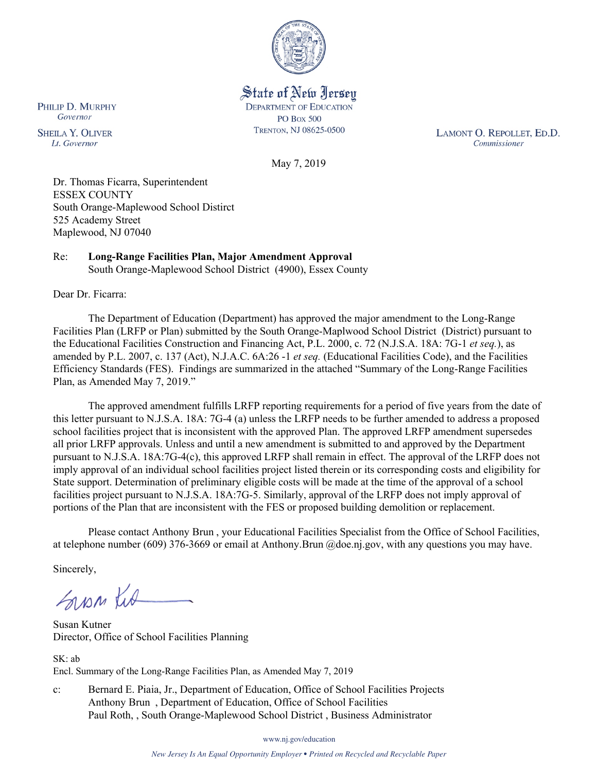

State of New Jersey **DEPARTMENT OF EDUCATION PO Box 500** TRENTON, NJ 08625-0500

LAMONT O. REPOLLET, ED.D. Commissioner

May 7, 2019

Dr. Thomas Ficarra, Superintendent ESSEX COUNTY South Orange-Maplewood School Distirct 525 Academy Street Maplewood, NJ 07040

# Re: **Long-Range Facilities Plan, Major Amendment Approval**

South Orange-Maplewood School District (4900), Essex County

Dear Dr. Ficarra:

The Department of Education (Department) has approved the major amendment to the Long-Range Facilities Plan (LRFP or Plan) submitted by the South Orange-Maplwood School District (District) pursuant to the Educational Facilities Construction and Financing Act, P.L. 2000, c. 72 (N.J.S.A. 18A: 7G-1 *et seq.*), as amended by P.L. 2007, c. 137 (Act), N.J.A.C. 6A:26 -1 *et seq.* (Educational Facilities Code), and the Facilities Efficiency Standards (FES). Findings are summarized in the attached "Summary of the Long-Range Facilities Plan, as Amended May 7, 2019."

The approved amendment fulfills LRFP reporting requirements for a period of five years from the date of this letter pursuant to N.J.S.A. 18A: 7G-4 (a) unless the LRFP needs to be further amended to address a proposed school facilities project that is inconsistent with the approved Plan. The approved LRFP amendment supersedes all prior LRFP approvals. Unless and until a new amendment is submitted to and approved by the Department pursuant to N.J.S.A. 18A:7G-4(c), this approved LRFP shall remain in effect. The approval of the LRFP does not imply approval of an individual school facilities project listed therein or its corresponding costs and eligibility for State support. Determination of preliminary eligible costs will be made at the time of the approval of a school facilities project pursuant to N.J.S.A. 18A:7G-5. Similarly, approval of the LRFP does not imply approval of portions of the Plan that are inconsistent with the FES or proposed building demolition or replacement.

Please contact Anthony Brun , your Educational Facilities Specialist from the Office of School Facilities, at telephone number (609) 376-3669 or email at Anthony.Brun @doe.nj.gov, with any questions you may have.

Sincerely,

Sypp Kit

Susan Kutner Director, Office of School Facilities Planning

SK: ab Encl. Summary of the Long-Range Facilities Plan, as Amended May 7, 2019

c: Bernard E. Piaia, Jr., Department of Education, Office of School Facilities Projects Anthony Brun , Department of Education, Office of School Facilities Paul Roth, , South Orange-Maplewood School District , Business Administrator

PHILIP D. MURPHY Governor

**SHEILA Y. OLIVER** Lt. Governor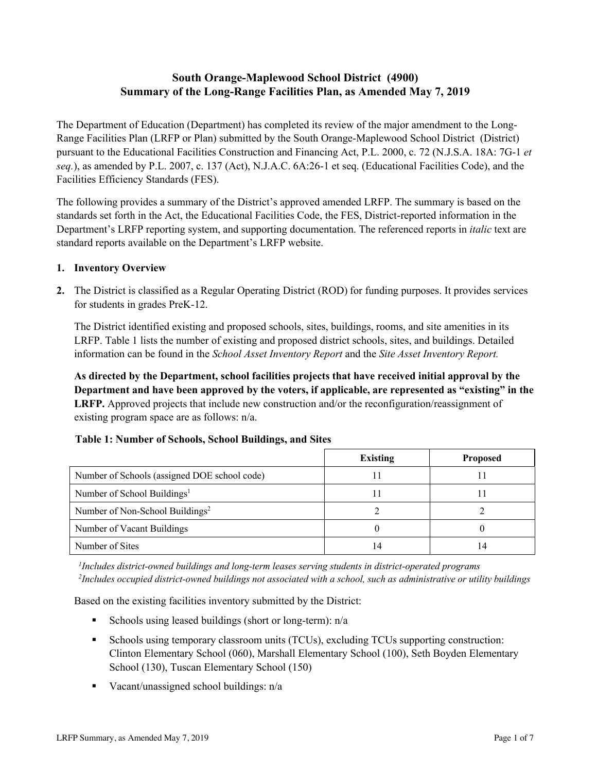# **South Orange-Maplewood School District (4900) Summary of the Long-Range Facilities Plan, as Amended May 7, 2019**

The Department of Education (Department) has completed its review of the major amendment to the Long-Range Facilities Plan (LRFP or Plan) submitted by the South Orange-Maplewood School District (District) pursuant to the Educational Facilities Construction and Financing Act, P.L. 2000, c. 72 (N.J.S.A. 18A: 7G-1 *et seq.*), as amended by P.L. 2007, c. 137 (Act), N.J.A.C. 6A:26-1 et seq. (Educational Facilities Code), and the Facilities Efficiency Standards (FES).

The following provides a summary of the District's approved amended LRFP. The summary is based on the standards set forth in the Act, the Educational Facilities Code, the FES, District-reported information in the Department's LRFP reporting system, and supporting documentation. The referenced reports in *italic* text are standard reports available on the Department's LRFP website.

### **1. Inventory Overview**

**2.** The District is classified as a Regular Operating District (ROD) for funding purposes. It provides services for students in grades PreK-12.

The District identified existing and proposed schools, sites, buildings, rooms, and site amenities in its LRFP. Table 1 lists the number of existing and proposed district schools, sites, and buildings. Detailed information can be found in the *School Asset Inventory Report* and the *Site Asset Inventory Report.*

**As directed by the Department, school facilities projects that have received initial approval by the Department and have been approved by the voters, if applicable, are represented as "existing" in the LRFP.** Approved projects that include new construction and/or the reconfiguration/reassignment of existing program space are as follows: n/a.

|                                              | <b>Existing</b> | <b>Proposed</b> |  |  |
|----------------------------------------------|-----------------|-----------------|--|--|
| Number of Schools (assigned DOE school code) |                 |                 |  |  |
| Number of School Buildings <sup>1</sup>      |                 |                 |  |  |
| Number of Non-School Buildings <sup>2</sup>  |                 |                 |  |  |
| Number of Vacant Buildings                   |                 |                 |  |  |
| Number of Sites                              | $\overline{4}$  |                 |  |  |

# **Table 1: Number of Schools, School Buildings, and Sites**

*1 Includes district-owned buildings and long-term leases serving students in district-operated programs 2 Includes occupied district-owned buildings not associated with a school, such as administrative or utility buildings*

Based on the existing facilities inventory submitted by the District:

- Schools using leased buildings (short or long-term):  $n/a$
- Schools using temporary classroom units (TCUs), excluding TCUs supporting construction: Clinton Elementary School (060), Marshall Elementary School (100), Seth Boyden Elementary School (130), Tuscan Elementary School (150)
- Vacant/unassigned school buildings:  $n/a$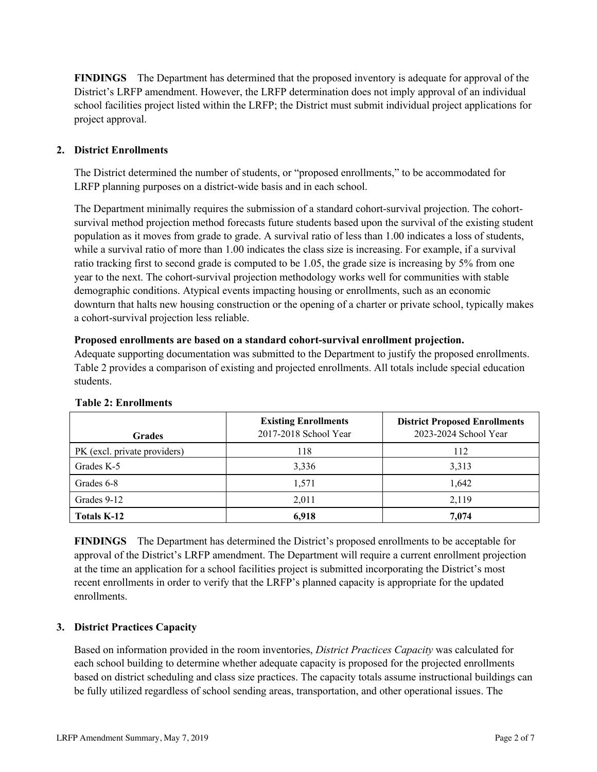**FINDINGS** The Department has determined that the proposed inventory is adequate for approval of the District's LRFP amendment. However, the LRFP determination does not imply approval of an individual school facilities project listed within the LRFP; the District must submit individual project applications for project approval.

## **2. District Enrollments**

The District determined the number of students, or "proposed enrollments," to be accommodated for LRFP planning purposes on a district-wide basis and in each school.

The Department minimally requires the submission of a standard cohort-survival projection. The cohortsurvival method projection method forecasts future students based upon the survival of the existing student population as it moves from grade to grade. A survival ratio of less than 1.00 indicates a loss of students, while a survival ratio of more than 1.00 indicates the class size is increasing. For example, if a survival ratio tracking first to second grade is computed to be 1.05, the grade size is increasing by 5% from one year to the next. The cohort-survival projection methodology works well for communities with stable demographic conditions. Atypical events impacting housing or enrollments, such as an economic downturn that halts new housing construction or the opening of a charter or private school, typically makes a cohort-survival projection less reliable.

#### **Proposed enrollments are based on a standard cohort-survival enrollment projection.**

Adequate supporting documentation was submitted to the Department to justify the proposed enrollments. Table 2 provides a comparison of existing and projected enrollments. All totals include special education students.

| <b>Grades</b>                | <b>Existing Enrollments</b><br>2017-2018 School Year | <b>District Proposed Enrollments</b><br>2023-2024 School Year |
|------------------------------|------------------------------------------------------|---------------------------------------------------------------|
| PK (excl. private providers) | 118                                                  | 112                                                           |
| Grades K-5                   | 3,336                                                | 3,313                                                         |
| Grades 6-8                   | 1,571                                                | 1,642                                                         |
| Grades 9-12                  | 2,011                                                | 2,119                                                         |
| <b>Totals K-12</b>           | 6.918                                                | 7,074                                                         |

#### **Table 2: Enrollments**

**FINDINGS** The Department has determined the District's proposed enrollments to be acceptable for approval of the District's LRFP amendment. The Department will require a current enrollment projection at the time an application for a school facilities project is submitted incorporating the District's most recent enrollments in order to verify that the LRFP's planned capacity is appropriate for the updated enrollments.

# **3. District Practices Capacity**

Based on information provided in the room inventories, *District Practices Capacity* was calculated for each school building to determine whether adequate capacity is proposed for the projected enrollments based on district scheduling and class size practices. The capacity totals assume instructional buildings can be fully utilized regardless of school sending areas, transportation, and other operational issues. The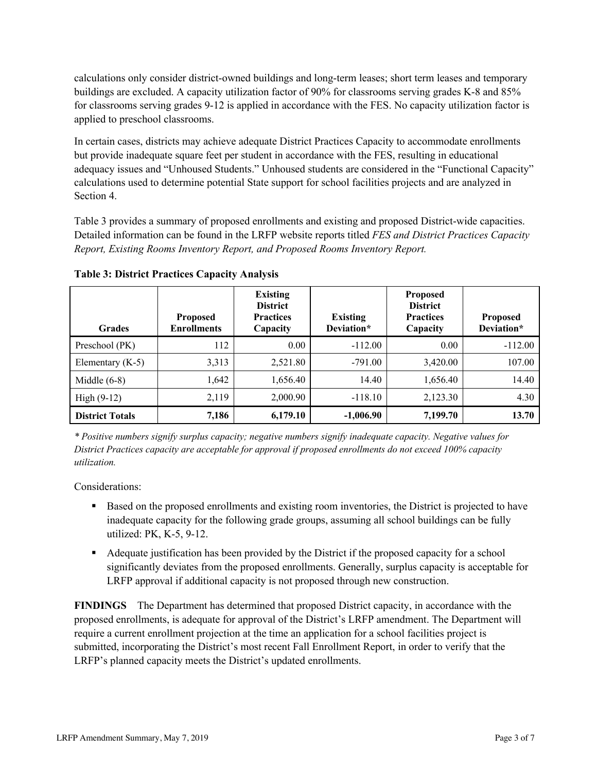calculations only consider district-owned buildings and long-term leases; short term leases and temporary buildings are excluded. A capacity utilization factor of 90% for classrooms serving grades K-8 and 85% for classrooms serving grades 9-12 is applied in accordance with the FES. No capacity utilization factor is applied to preschool classrooms.

In certain cases, districts may achieve adequate District Practices Capacity to accommodate enrollments but provide inadequate square feet per student in accordance with the FES, resulting in educational adequacy issues and "Unhoused Students." Unhoused students are considered in the "Functional Capacity" calculations used to determine potential State support for school facilities projects and are analyzed in Section 4.

Table 3 provides a summary of proposed enrollments and existing and proposed District-wide capacities. Detailed information can be found in the LRFP website reports titled *FES and District Practices Capacity Report, Existing Rooms Inventory Report, and Proposed Rooms Inventory Report.*

| <b>Grades</b>          | <b>Proposed</b><br><b>Enrollments</b> | <b>Existing</b><br><b>District</b><br><b>Practices</b><br>Capacity | <b>Existing</b><br>Deviation* | <b>Proposed</b><br><b>District</b><br><b>Practices</b><br>Capacity | <b>Proposed</b><br>Deviation* |
|------------------------|---------------------------------------|--------------------------------------------------------------------|-------------------------------|--------------------------------------------------------------------|-------------------------------|
| Preschool (PK)         | 112                                   | 0.00                                                               | $-112.00$                     | 0.00                                                               | $-112.00$                     |
| Elementary $(K-5)$     | 3,313                                 | 2,521.80                                                           | $-791.00$                     | 3,420.00                                                           | 107.00                        |
| Middle $(6-8)$         | 1,642                                 | 1,656.40                                                           | 14.40                         | 1,656.40                                                           | 14.40                         |
| $High (9-12)$          | 2,119                                 | 2,000.90                                                           | $-118.10$                     | 2,123.30                                                           | 4.30                          |
| <b>District Totals</b> | 7,186                                 | 6,179.10                                                           | $-1,006.90$                   | 7,199.70                                                           | 13.70                         |

**Table 3: District Practices Capacity Analysis**

*\* Positive numbers signify surplus capacity; negative numbers signify inadequate capacity. Negative values for District Practices capacity are acceptable for approval if proposed enrollments do not exceed 100% capacity utilization.*

Considerations:

- Based on the proposed enrollments and existing room inventories, the District is projected to have inadequate capacity for the following grade groups, assuming all school buildings can be fully utilized: PK, K-5, 9-12.
- Adequate justification has been provided by the District if the proposed capacity for a school significantly deviates from the proposed enrollments. Generally, surplus capacity is acceptable for LRFP approval if additional capacity is not proposed through new construction.

**FINDINGS**The Department has determined that proposed District capacity, in accordance with the proposed enrollments, is adequate for approval of the District's LRFP amendment. The Department will require a current enrollment projection at the time an application for a school facilities project is submitted, incorporating the District's most recent Fall Enrollment Report, in order to verify that the LRFP's planned capacity meets the District's updated enrollments.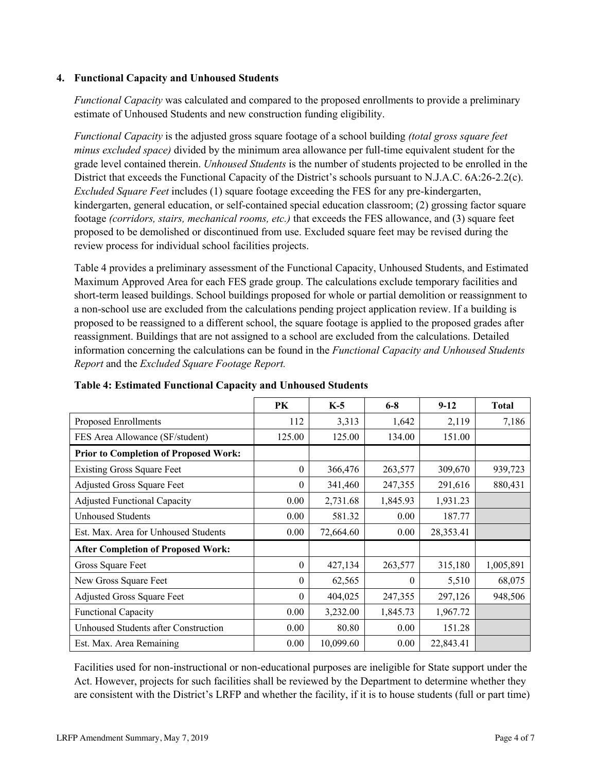## **4. Functional Capacity and Unhoused Students**

*Functional Capacity* was calculated and compared to the proposed enrollments to provide a preliminary estimate of Unhoused Students and new construction funding eligibility.

*Functional Capacity* is the adjusted gross square footage of a school building *(total gross square feet minus excluded space)* divided by the minimum area allowance per full-time equivalent student for the grade level contained therein. *Unhoused Students* is the number of students projected to be enrolled in the District that exceeds the Functional Capacity of the District's schools pursuant to N.J.A.C. 6A:26-2.2(c). *Excluded Square Feet* includes (1) square footage exceeding the FES for any pre-kindergarten, kindergarten, general education, or self-contained special education classroom; (2) grossing factor square footage *(corridors, stairs, mechanical rooms, etc.)* that exceeds the FES allowance, and (3) square feet proposed to be demolished or discontinued from use. Excluded square feet may be revised during the review process for individual school facilities projects.

Table 4 provides a preliminary assessment of the Functional Capacity, Unhoused Students, and Estimated Maximum Approved Area for each FES grade group. The calculations exclude temporary facilities and short-term leased buildings. School buildings proposed for whole or partial demolition or reassignment to a non-school use are excluded from the calculations pending project application review. If a building is proposed to be reassigned to a different school, the square footage is applied to the proposed grades after reassignment. Buildings that are not assigned to a school are excluded from the calculations. Detailed information concerning the calculations can be found in the *Functional Capacity and Unhoused Students Report* and the *Excluded Square Footage Report.*

|                                              | PK       | $K-5$     | $6 - 8$  | $9 - 12$  | <b>Total</b> |
|----------------------------------------------|----------|-----------|----------|-----------|--------------|
| Proposed Enrollments                         | 112      | 3,313     | 1,642    | 2,119     | 7,186        |
| FES Area Allowance (SF/student)              | 125.00   | 125.00    | 134.00   | 151.00    |              |
| <b>Prior to Completion of Proposed Work:</b> |          |           |          |           |              |
| <b>Existing Gross Square Feet</b>            | $\theta$ | 366,476   | 263,577  | 309,670   | 939,723      |
| Adjusted Gross Square Feet                   | $\theta$ | 341,460   | 247,355  | 291,616   | 880,431      |
| <b>Adjusted Functional Capacity</b>          | 0.00     | 2,731.68  | 1,845.93 | 1,931.23  |              |
| <b>Unhoused Students</b>                     | 0.00     | 581.32    | 0.00     | 187.77    |              |
| Est. Max. Area for Unhoused Students         | 0.00     | 72,664.60 | 0.00     | 28,353.41 |              |
| <b>After Completion of Proposed Work:</b>    |          |           |          |           |              |
| Gross Square Feet                            | $\theta$ | 427,134   | 263,577  | 315,180   | 1,005,891    |
| New Gross Square Feet                        | $\theta$ | 62,565    | 0        | 5,510     | 68,075       |
| Adjusted Gross Square Feet                   | $\theta$ | 404,025   | 247,355  | 297,126   | 948,506      |
| <b>Functional Capacity</b>                   | 0.00     | 3,232.00  | 1,845.73 | 1,967.72  |              |
| Unhoused Students after Construction         | 0.00     | 80.80     | 0.00     | 151.28    |              |
| Est. Max. Area Remaining                     | 0.00     | 10,099.60 | 0.00     | 22,843.41 |              |

**Table 4: Estimated Functional Capacity and Unhoused Students** 

Facilities used for non-instructional or non-educational purposes are ineligible for State support under the Act. However, projects for such facilities shall be reviewed by the Department to determine whether they are consistent with the District's LRFP and whether the facility, if it is to house students (full or part time)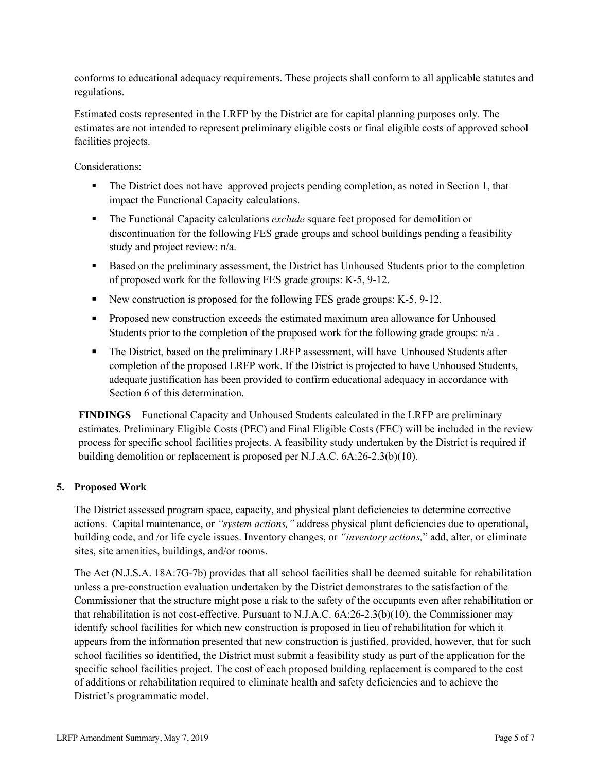conforms to educational adequacy requirements. These projects shall conform to all applicable statutes and regulations.

Estimated costs represented in the LRFP by the District are for capital planning purposes only. The estimates are not intended to represent preliminary eligible costs or final eligible costs of approved school facilities projects.

Considerations:

- The District does not have approved projects pending completion, as noted in Section 1, that impact the Functional Capacity calculations.
- The Functional Capacity calculations *exclude* square feet proposed for demolition or discontinuation for the following FES grade groups and school buildings pending a feasibility study and project review: n/a.
- Based on the preliminary assessment, the District has Unhoused Students prior to the completion of proposed work for the following FES grade groups: K-5, 9-12.
- New construction is proposed for the following FES grade groups: K-5, 9-12.
- Proposed new construction exceeds the estimated maximum area allowance for Unhoused Students prior to the completion of the proposed work for the following grade groups: n/a.
- The District, based on the preliminary LRFP assessment, will have Unhoused Students after completion of the proposed LRFP work. If the District is projected to have Unhoused Students, adequate justification has been provided to confirm educational adequacy in accordance with Section 6 of this determination.

**FINDINGS** Functional Capacity and Unhoused Students calculated in the LRFP are preliminary estimates. Preliminary Eligible Costs (PEC) and Final Eligible Costs (FEC) will be included in the review process for specific school facilities projects. A feasibility study undertaken by the District is required if building demolition or replacement is proposed per N.J.A.C. 6A:26-2.3(b)(10).

### **5. Proposed Work**

The District assessed program space, capacity, and physical plant deficiencies to determine corrective actions. Capital maintenance, or *"system actions,"* address physical plant deficiencies due to operational, building code, and /or life cycle issues. Inventory changes, or *"inventory actions,*" add, alter, or eliminate sites, site amenities, buildings, and/or rooms.

The Act (N.J.S.A. 18A:7G-7b) provides that all school facilities shall be deemed suitable for rehabilitation unless a pre-construction evaluation undertaken by the District demonstrates to the satisfaction of the Commissioner that the structure might pose a risk to the safety of the occupants even after rehabilitation or that rehabilitation is not cost-effective. Pursuant to N.J.A.C. 6A:26-2.3(b)(10), the Commissioner may identify school facilities for which new construction is proposed in lieu of rehabilitation for which it appears from the information presented that new construction is justified, provided, however, that for such school facilities so identified, the District must submit a feasibility study as part of the application for the specific school facilities project. The cost of each proposed building replacement is compared to the cost of additions or rehabilitation required to eliminate health and safety deficiencies and to achieve the District's programmatic model.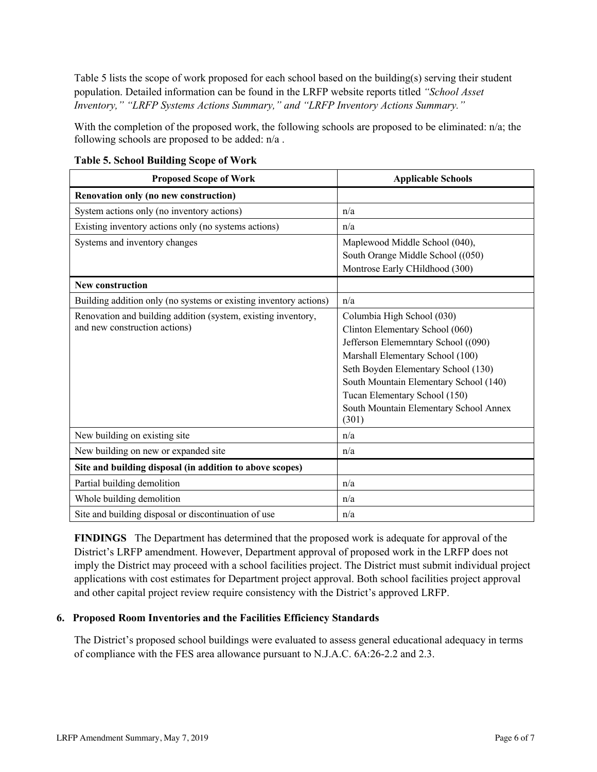Table 5 lists the scope of work proposed for each school based on the building(s) serving their student population. Detailed information can be found in the LRFP website reports titled *"School Asset Inventory," "LRFP Systems Actions Summary," and "LRFP Inventory Actions Summary."*

With the completion of the proposed work, the following schools are proposed to be eliminated: n/a; the following schools are proposed to be added: n/a .

| <b>Proposed Scope of Work</b>                                                                  | <b>Applicable Schools</b>                                                                                                                                                                                                                                                                                     |
|------------------------------------------------------------------------------------------------|---------------------------------------------------------------------------------------------------------------------------------------------------------------------------------------------------------------------------------------------------------------------------------------------------------------|
| Renovation only (no new construction)                                                          |                                                                                                                                                                                                                                                                                                               |
| System actions only (no inventory actions)                                                     | n/a                                                                                                                                                                                                                                                                                                           |
| Existing inventory actions only (no systems actions)                                           | n/a                                                                                                                                                                                                                                                                                                           |
| Systems and inventory changes                                                                  | Maplewood Middle School (040),<br>South Orange Middle School ((050)<br>Montrose Early CHildhood (300)                                                                                                                                                                                                         |
| <b>New construction</b>                                                                        |                                                                                                                                                                                                                                                                                                               |
| Building addition only (no systems or existing inventory actions)                              | n/a                                                                                                                                                                                                                                                                                                           |
| Renovation and building addition (system, existing inventory,<br>and new construction actions) | Columbia High School (030)<br>Clinton Elementary School (060)<br>Jefferson Elememntary School ((090)<br>Marshall Elementary School (100)<br>Seth Boyden Elementary School (130)<br>South Mountain Elementary School (140)<br>Tucan Elementary School (150)<br>South Mountain Elementary School Annex<br>(301) |
| New building on existing site                                                                  | n/a                                                                                                                                                                                                                                                                                                           |
| New building on new or expanded site                                                           | n/a                                                                                                                                                                                                                                                                                                           |
| Site and building disposal (in addition to above scopes)                                       |                                                                                                                                                                                                                                                                                                               |
| Partial building demolition                                                                    | n/a                                                                                                                                                                                                                                                                                                           |
| Whole building demolition                                                                      | n/a                                                                                                                                                                                                                                                                                                           |
| Site and building disposal or discontinuation of use                                           | n/a                                                                                                                                                                                                                                                                                                           |

**Table 5. School Building Scope of Work**

**FINDINGS** The Department has determined that the proposed work is adequate for approval of the District's LRFP amendment. However, Department approval of proposed work in the LRFP does not imply the District may proceed with a school facilities project. The District must submit individual project applications with cost estimates for Department project approval. Both school facilities project approval and other capital project review require consistency with the District's approved LRFP.

# **6. Proposed Room Inventories and the Facilities Efficiency Standards**

The District's proposed school buildings were evaluated to assess general educational adequacy in terms of compliance with the FES area allowance pursuant to N.J.A.C. 6A:26-2.2 and 2.3.